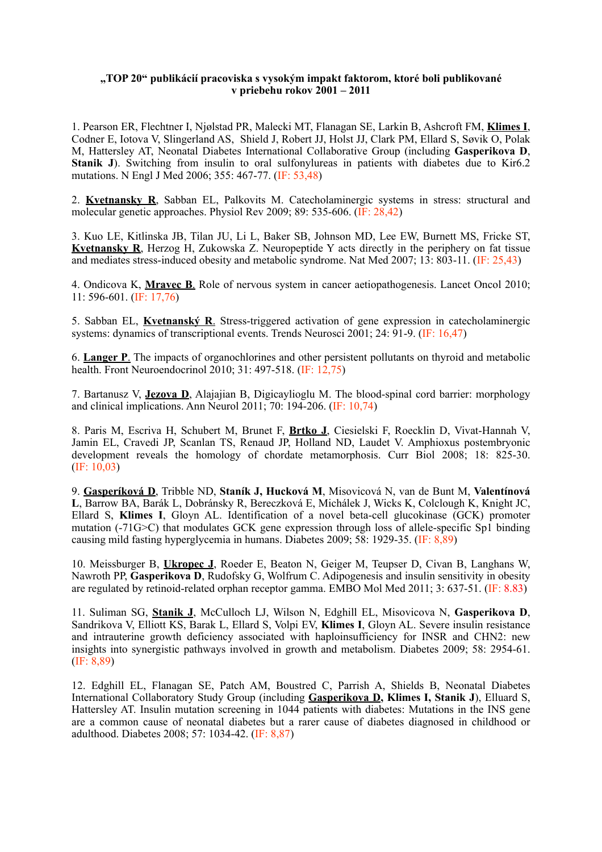## **"TOP 20" publikácií pracoviska s vysokým impakt faktorom, ktoré boli publikované v priebehu rokov 2001 – 2011**

1. Pearson ER, Flechtner I, Njølstad PR, Malecki MT, Flanagan SE, Larkin B, Ashcroft FM, **Klimes I**, Codner E, Iotova V, Slingerland AS, Shield J, Robert JJ, Holst JJ, Clark PM, Ellard S, Søvik O, Polak M, Hattersley AT, Neonatal Diabetes International Collaborative Group (including **Gasperikova D**, **Stanik J**). Switching from insulin to oral sulfonylureas in patients with diabetes due to Kir6.2 mutations. N Engl J Med 2006; 355: 467-77. (IF: 53,48)

2. **Kvetnansky R**, Sabban EL, Palkovits M. Catecholaminergic systems in stress: structural and molecular genetic approaches. Physiol Rev 2009; 89: 535-606. (IF: 28,42)

3. Kuo LE, Kitlinska JB, Tilan JU, Li L, Baker SB, Johnson MD, Lee EW, Burnett MS, Fricke ST, **Kvetnansky R**, Herzog H, Zukowska Z. Neuropeptide Y acts directly in the periphery on fat tissue and mediates stress-induced obesity and metabolic syndrome. Nat Med 2007; 13: 803-11. (IF: 25,43)

4. Ondicova K, **Mravec B**. Role of nervous system in cancer aetiopathogenesis. Lancet Oncol 2010; 11: 596-601. (IF: 17,76)

5. Sabban EL, **Kvetnanský R**. Stress-triggered activation of gene expression in catecholaminergic systems: dynamics of transcriptional events. Trends Neurosci 2001; 24: 91-9. (IF: 16,47)

6. **Langer P**. The impacts of organochlorines and other persistent pollutants on thyroid and metabolic health. Front Neuroendocrinol 2010; 31: 497-518. (IF: 12,75)

7. Bartanusz V, **Jezova D**, Alajajian B, Digicaylioglu M. The blood-spinal cord barrier: morphology and clinical implications. Ann Neurol 2011; 70: 194-206. (IF: 10,74)

8. Paris M, Escriva H, Schubert M, Brunet F, **Brtko J**, Ciesielski F, Roecklin D, Vivat-Hannah V, Jamin EL, Cravedi JP, Scanlan TS, Renaud JP, Holland ND, Laudet V. Amphioxus postembryonic development reveals the homology of chordate metamorphosis. Curr Biol 2008; 18: 825-30. (IF: 10,03)

9. **Gasperíková D**, Tribble ND, **Staník J, Hucková M**, Misovicová N, van de Bunt M, **Valentínová L**, Barrow BA, Barák L, Dobránsky R, Bereczková E, Michálek J, Wicks K, Colclough K, Knight JC, Ellard S, **Klimes I**, Gloyn AL. Identification of a novel beta-cell glucokinase (GCK) promoter mutation (-71G>C) that modulates GCK gene expression through loss of allele-specific Sp1 binding causing mild fasting hyperglycemia in humans. Diabetes 2009; 58: 1929-35. (IF: 8,89)

10. Meissburger B, **Ukropec J**, Roeder E, Beaton N, Geiger M, Teupser D, Civan B, Langhans W, Nawroth PP, **Gasperikova D**, Rudofsky G, Wolfrum C. Adipogenesis and insulin sensitivity in obesity are regulated by retinoid-related orphan receptor gamma. EMBO Mol Med 2011; 3: 637-51. (IF: 8.83)

11. Suliman SG, **Stanik J**, McCulloch LJ, Wilson N, Edghill EL, Misovicova N, **Gasperikova D**, Sandrikova V, Elliott KS, Barak L, Ellard S, Volpi EV, **Klimes I**, Gloyn AL. Severe insulin resistance and intrauterine growth deficiency associated with haploinsufficiency for INSR and CHN2: new insights into synergistic pathways involved in growth and metabolism. Diabetes 2009; 58: 2954-61. (IF: 8,89)

12. Edghill EL, Flanagan SE, Patch AM, Boustred C, Parrish A, Shields B, Neonatal Diabetes International Collaboratory Study Group (including **Gasperikova D, Klimes I, Stanik J**), Elluard S, Hattersley AT. Insulin mutation screening in 1044 patients with diabetes: Mutations in the INS gene are a common cause of neonatal diabetes but a rarer cause of diabetes diagnosed in childhood or adulthood. Diabetes 2008; 57: 1034-42. (IF: 8,87)